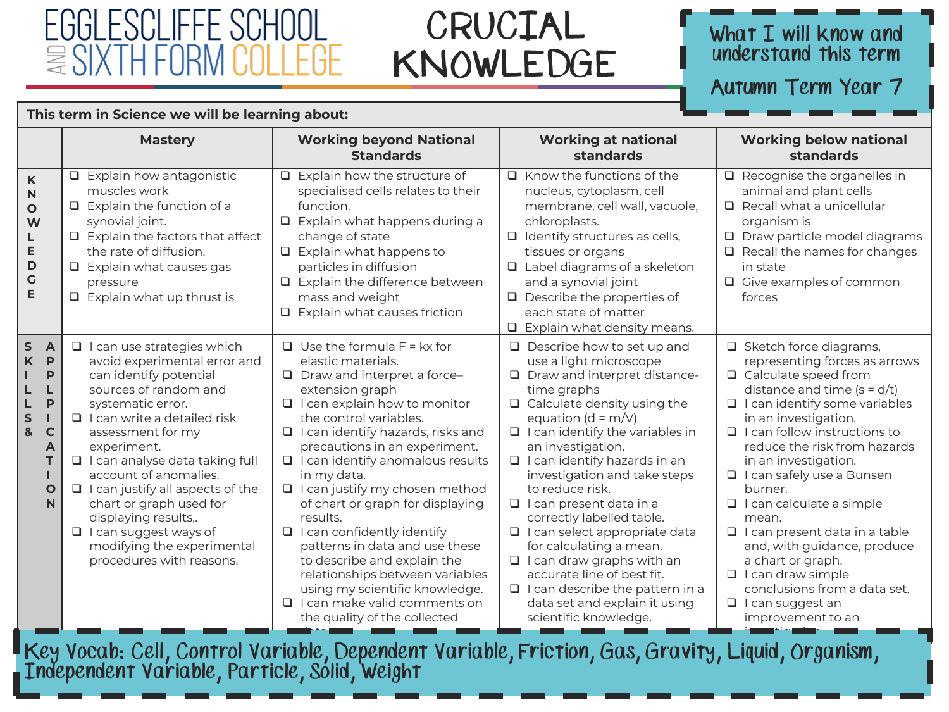### FGGI FSCI IFFF SCHOOL  $\approx$  SIX IF

This term in Science we will be learning about:

### CRUCIAL KNOWLEDGE

#### What  $I$  will know and understand this term

Autumn Term Year 7

|                                                                                                                                         | <b>Mastery</b>                                                                                                                                                                                                                                                                                                                                                                                                                                                           | <b>Working beyond National</b><br><b>Standards</b>                                                                                                                                                                                                                                                                                                                                                                                                                                                                                                                                                                                                             | <b>Working at national</b><br>standards                                                                                                                                                                                                                                                                                                                                                                                                                                                                                                                                                                                                  | <b>Working below national</b><br>standards                                                                                                                                                                                                                                                                                                                                                                                                                                                                                                                                                  |
|-----------------------------------------------------------------------------------------------------------------------------------------|--------------------------------------------------------------------------------------------------------------------------------------------------------------------------------------------------------------------------------------------------------------------------------------------------------------------------------------------------------------------------------------------------------------------------------------------------------------------------|----------------------------------------------------------------------------------------------------------------------------------------------------------------------------------------------------------------------------------------------------------------------------------------------------------------------------------------------------------------------------------------------------------------------------------------------------------------------------------------------------------------------------------------------------------------------------------------------------------------------------------------------------------------|------------------------------------------------------------------------------------------------------------------------------------------------------------------------------------------------------------------------------------------------------------------------------------------------------------------------------------------------------------------------------------------------------------------------------------------------------------------------------------------------------------------------------------------------------------------------------------------------------------------------------------------|---------------------------------------------------------------------------------------------------------------------------------------------------------------------------------------------------------------------------------------------------------------------------------------------------------------------------------------------------------------------------------------------------------------------------------------------------------------------------------------------------------------------------------------------------------------------------------------------|
| $\mathsf K$<br>N<br>$\mathbf{o}$<br>W<br>L<br>E<br>$\mathsf D$<br>$\mathsf{G}$<br>E                                                     | $\Box$ Explain how antagonistic<br>muscles work<br>$\Box$ Explain the function of a<br>synovial joint.<br>$\Box$ Explain the factors that affect<br>the rate of diffusion.<br>$\Box$ Explain what causes gas<br>pressure<br>$\Box$ Explain what up thrust is                                                                                                                                                                                                             | $\Box$ Explain how the structure of<br>specialised cells relates to their<br>function.<br>$\Box$ Explain what happens during a<br>change of state<br>$\Box$ Explain what happens to<br>particles in diffusion<br>$\Box$ Explain the difference between<br>mass and weight<br>$\Box$ Explain what causes friction                                                                                                                                                                                                                                                                                                                                               | $\Box$ Know the functions of the<br>nucleus, cytoplasm, cell<br>membrane, cell wall, vacuole,<br>chloroplasts.<br>$\Box$ Identify structures as cells,<br>tissues or organs<br>$\Box$ Label diagrams of a skeleton<br>and a synovial joint<br>$\Box$ Describe the properties of<br>each state of matter<br>$\Box$ Explain what density means.                                                                                                                                                                                                                                                                                            | $\Box$ Recognise the organelles in<br>animal and plant cells<br>$\Box$ Recall what a unicellular<br>organism is<br>$\Box$ Draw particle model diagrams<br>$\Box$ Recall the names for changes<br>in state<br>$\Box$ Give examples of common<br>forces                                                                                                                                                                                                                                                                                                                                       |
| $\mathsf{s}$<br>$\overline{A}$<br>$\mathsf{K}$<br>P<br>P<br>P<br>L<br>S<br>$\mathbf{g}$<br>$\mathsf{C}$<br>A<br>T.<br>$\mathbf{o}$<br>N | $\Box$ I can use strategies which<br>avoid experimental error and<br>can identify potential<br>sources of random and<br>systematic error.<br>$\Box$ I can write a detailed risk<br>assessment for my<br>experiment.<br>□ I can analyse data taking full<br>account of anomalies.<br>$\Box$ I can justify all aspects of the<br>chart or graph used for<br>displaying results,.<br>$\Box$ I can suggest ways of<br>modifying the experimental<br>procedures with reasons. | $\Box$ Use the formula F = kx for<br>elastic materials.<br>$\Box$ Draw and interpret a force-<br>extension graph<br>$\Box$ I can explain how to monitor<br>the control variables.<br>$\Box$ I can identify hazards, risks and<br>precautions in an experiment.<br>$\Box$ I can identify anomalous results<br>in my data.<br>□ I can justify my chosen method<br>of chart or graph for displaying<br>results.<br>$\Box$ I can confidently identify<br>patterns in data and use these<br>to describe and explain the<br>relationships between variables<br>using my scientific knowledge.<br>$\Box$ I can make valid comments on<br>the quality of the collected | $\Box$ Describe how to set up and<br>use a light microscope<br>□ Draw and interpret distance-<br>time graphs<br>$\Box$ Calculate density using the<br>equation ( $d = m/V$ )<br>$\Box$ I can identify the variables in<br>an investigation.<br>$\Box$ I can identify hazards in an<br>investigation and take steps<br>to reduce risk.<br>$\Box$ I can present data in a<br>correctly labelled table.<br>□ I can select appropriate data<br>for calculating a mean.<br>$\Box$ I can draw graphs with an<br>accurate line of best fit.<br>$\Box$ I can describe the pattern in a<br>data set and explain it using<br>scientific knowledge. | $\Box$ Sketch force diagrams,<br>representing forces as arrows<br>$\Box$ Calculate speed from<br>distance and time $(s = d/t)$<br>$\Box$ I can identify some variables<br>in an investigation.<br>$\Box$ I can follow instructions to<br>reduce the risk from hazards<br>in an investigation.<br>□ I can safely use a Bunsen<br>burner.<br>$\Box$ I can calculate a simple<br>mean.<br>$\Box$ I can present data in a table<br>and, with guidance, produce<br>a chart or graph.<br>$\Box$ I can draw simple<br>conclusions from a data set.<br>$\Box$ I can suggest an<br>improvement to an |

Key Vocab: Cell, Control Variable, Dependent Variable, Friction, Gas, Gravity, Liquid, Organism,<br>Independent Variable, Particle, Solid, Weight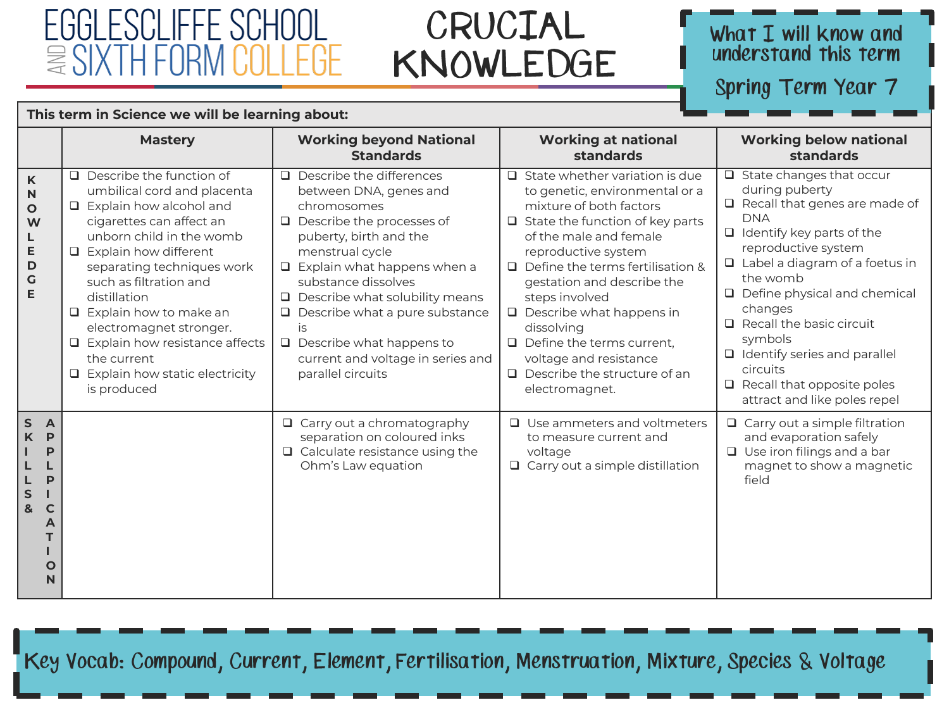# FGGI FSCI IFFF SCHOOL

### CRUCIAL KNOWLEDGE

#### What  $I$  will know and understand this term

Spring Term Year 7

|                                                                                                             | This term in Science we will be learning about:                                                                                                                                                                                                                                                                                                                                                                                         |                                                                                                                                                                                                                                                                                                                                                                                                                   |                                                                                                                                                                                                                                                                                                                                                                                                                                                                  |                                                                                                                                                                                                                                                                                                                                                                                                                                          |
|-------------------------------------------------------------------------------------------------------------|-----------------------------------------------------------------------------------------------------------------------------------------------------------------------------------------------------------------------------------------------------------------------------------------------------------------------------------------------------------------------------------------------------------------------------------------|-------------------------------------------------------------------------------------------------------------------------------------------------------------------------------------------------------------------------------------------------------------------------------------------------------------------------------------------------------------------------------------------------------------------|------------------------------------------------------------------------------------------------------------------------------------------------------------------------------------------------------------------------------------------------------------------------------------------------------------------------------------------------------------------------------------------------------------------------------------------------------------------|------------------------------------------------------------------------------------------------------------------------------------------------------------------------------------------------------------------------------------------------------------------------------------------------------------------------------------------------------------------------------------------------------------------------------------------|
|                                                                                                             | <b>Mastery</b>                                                                                                                                                                                                                                                                                                                                                                                                                          | <b>Working beyond National</b><br><b>Standards</b>                                                                                                                                                                                                                                                                                                                                                                | <b>Working at national</b><br>standards                                                                                                                                                                                                                                                                                                                                                                                                                          | <b>Working below national</b><br>standards                                                                                                                                                                                                                                                                                                                                                                                               |
| K<br>N<br>$\mathbf{o}$<br>W<br>L<br>E<br>D<br>$\mathbf G$<br>E                                              | $\Box$ Describe the function of<br>umbilical cord and placenta<br>$\Box$ Explain how alcohol and<br>cigarettes can affect an<br>unborn child in the womb<br>$\Box$ Explain how different<br>separating techniques work<br>such as filtration and<br>distillation<br>$\Box$ Explain how to make an<br>electromagnet stronger.<br>□ Explain how resistance affects<br>the current<br>$\Box$ Explain how static electricity<br>is produced | $\Box$ Describe the differences<br>between DNA, genes and<br>chromosomes<br>$\Box$ Describe the processes of<br>puberty, birth and the<br>menstrual cycle<br>Explain what happens when a<br>$\Box$<br>substance dissolves<br>$\Box$ Describe what solubility means<br>Describe what a pure substance<br>$\Box$<br>is<br>$\Box$ Describe what happens to<br>current and voltage in series and<br>parallel circuits | $\Box$ State whether variation is due<br>to genetic, environmental or a<br>mixture of both factors<br>$\Box$ State the function of key parts<br>of the male and female<br>reproductive system<br>$\Box$ Define the terms fertilisation &<br>gestation and describe the<br>steps involved<br>$\Box$ Describe what happens in<br>dissolving<br>$\Box$ Define the terms current,<br>voltage and resistance<br>$\Box$ Describe the structure of an<br>electromagnet. | $\Box$ State changes that occur<br>during puberty<br>$\Box$ Recall that genes are made of<br><b>DNA</b><br>$\Box$ Identify key parts of the<br>reproductive system<br>$\Box$ Label a diagram of a foetus in<br>the womb<br>Define physical and chemical<br>changes<br>$\Box$ Recall the basic circuit<br>symbols<br>$\Box$ Identify series and parallel<br>circuits<br>$\Box$ Recall that opposite poles<br>attract and like poles repel |
| $\mathsf{s}$<br>$\overline{A}$<br>K<br>P<br>P<br>P<br>$\mathsf{s}$<br>&<br>$\mathbf C$<br>A<br>$\circ$<br>N |                                                                                                                                                                                                                                                                                                                                                                                                                                         | $\Box$ Carry out a chromatography<br>separation on coloured inks<br>$\Box$ Calculate resistance using the<br>Ohm's Law equation                                                                                                                                                                                                                                                                                   | $\Box$ Use ammeters and voltmeters<br>to measure current and<br>voltage<br>$\Box$ Carry out a simple distillation                                                                                                                                                                                                                                                                                                                                                | $\Box$ Carry out a simple filtration<br>and evaporation safely<br>$\Box$ Use iron filings and a bar<br>magnet to show a magnetic<br>field                                                                                                                                                                                                                                                                                                |

Key Vocab: Compound, Current, Element, Fertilisation, Menstruation, Mixture, Species & Voltage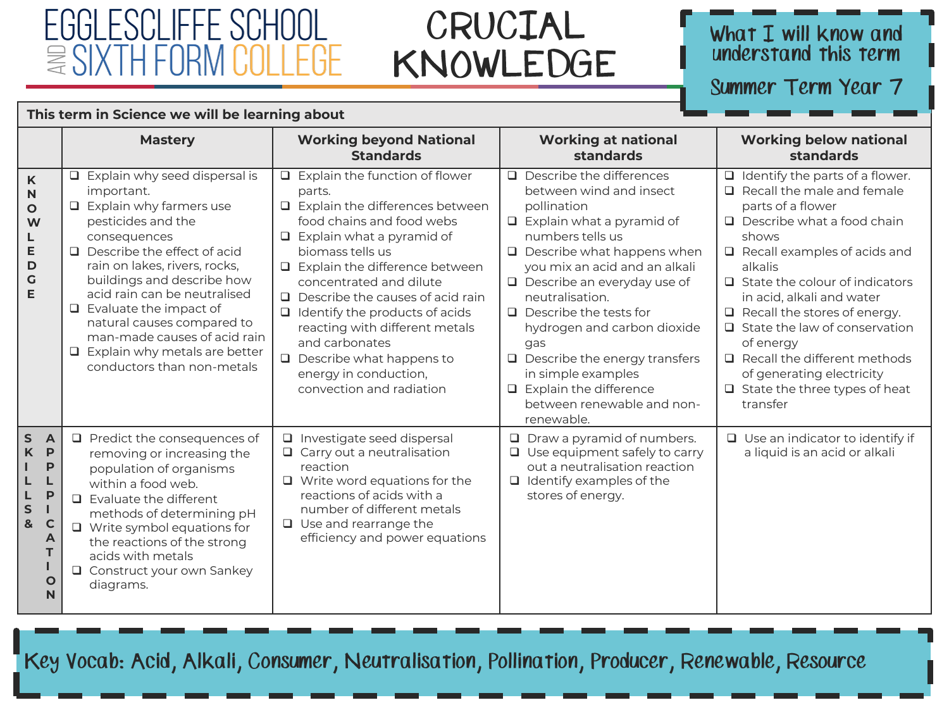#### FGGI ESCLIFFE SCHOOL  $\approx$  SIX IH FOR l EliF.

This term in Science we will be learning about

### CRUCIAL KNOWLEDGE

#### What I will know and understand this term

Summer Term Year 7

|                                                                                                                                       | <b>Mastery</b>                                                                                                                                                                                                                                                                                                                                                                                                                          | <b>Working beyond National</b>                                                                                                                                                                                                                                                                                                                                                                                                                                         | <b>Working at national</b>                                                                                                                                                                                                                                                                                                                                                                                                                                                         | <b>Working below national</b>                                                                                                                                                                                                                                                                                                                                                                                                                                                              |
|---------------------------------------------------------------------------------------------------------------------------------------|-----------------------------------------------------------------------------------------------------------------------------------------------------------------------------------------------------------------------------------------------------------------------------------------------------------------------------------------------------------------------------------------------------------------------------------------|------------------------------------------------------------------------------------------------------------------------------------------------------------------------------------------------------------------------------------------------------------------------------------------------------------------------------------------------------------------------------------------------------------------------------------------------------------------------|------------------------------------------------------------------------------------------------------------------------------------------------------------------------------------------------------------------------------------------------------------------------------------------------------------------------------------------------------------------------------------------------------------------------------------------------------------------------------------|--------------------------------------------------------------------------------------------------------------------------------------------------------------------------------------------------------------------------------------------------------------------------------------------------------------------------------------------------------------------------------------------------------------------------------------------------------------------------------------------|
|                                                                                                                                       |                                                                                                                                                                                                                                                                                                                                                                                                                                         | <b>Standards</b>                                                                                                                                                                                                                                                                                                                                                                                                                                                       | standards                                                                                                                                                                                                                                                                                                                                                                                                                                                                          | standards                                                                                                                                                                                                                                                                                                                                                                                                                                                                                  |
| $\mathsf K$<br>$\mathbf N$<br>$\circ$<br>W<br>L<br>Е<br>D<br>G<br>E                                                                   | Explain why seed dispersal is<br>$\Box$<br>important.<br>$\Box$ Explain why farmers use<br>pesticides and the<br>consequences<br>$\Box$ Describe the effect of acid<br>rain on lakes, rivers, rocks,<br>buildings and describe how<br>acid rain can be neutralised<br>$\Box$ Evaluate the impact of<br>natural causes compared to<br>man-made causes of acid rain<br>$\Box$ Explain why metals are better<br>conductors than non-metals | Explain the function of flower<br>o.<br>parts.<br>Explain the differences between<br>food chains and food webs<br>$\Box$ Explain what a pyramid of<br>biomass tells us<br>$\Box$ Explain the difference between<br>concentrated and dilute<br>$\Box$ Describe the causes of acid rain<br>Identify the products of acids<br>reacting with different metals<br>and carbonates<br>Describe what happens to<br>$\Box$<br>energy in conduction,<br>convection and radiation | $\Box$ Describe the differences<br>between wind and insect<br>pollination<br>$\Box$ Explain what a pyramid of<br>numbers tells us<br>$\Box$ Describe what happens when<br>you mix an acid and an alkali<br>$\Box$ Describe an everyday use of<br>neutralisation.<br>$\Box$ Describe the tests for<br>hydrogen and carbon dioxide<br>qas<br>$\Box$ Describe the energy transfers<br>in simple examples<br>$\Box$ Explain the difference<br>between renewable and non-<br>renewable. | $\Box$ Identify the parts of a flower.<br>$\Box$ Recall the male and female<br>parts of a flower<br>$\Box$ Describe what a food chain<br>shows<br>$\Box$ Recall examples of acids and<br>alkalis<br>$\Box$ State the colour of indicators<br>in acid, alkali and water<br>$\Box$ Recall the stores of energy.<br>$\Box$ State the law of conservation<br>of energy<br>$\Box$ Recall the different methods<br>of generating electricity<br>$\Box$ State the three types of heat<br>transfer |
| $\sf S$<br>$\overline{A}$<br>$\mathbf K$<br>$\mathsf{P}$<br>P<br>P<br>L<br>S<br>$\mathbf{g}$<br>$\mathbf C$<br>A<br>$\mathbf{o}$<br>N | $\Box$ Predict the consequences of<br>removing or increasing the<br>population of organisms<br>within a food web.<br>$\Box$ Evaluate the different<br>methods of determining pH<br>$\Box$ Write symbol equations for<br>the reactions of the strong<br>acids with metals<br>□ Construct your own Sankey<br>diagrams.                                                                                                                    | □ Investigate seed dispersal<br>$\Box$ Carry out a neutralisation<br>reaction<br>$\Box$ Write word equations for the<br>reactions of acids with a<br>number of different metals<br>$\Box$ Use and rearrange the<br>efficiency and power equations                                                                                                                                                                                                                      | $\Box$ Draw a pyramid of numbers.<br>$\Box$ Use equipment safely to carry<br>out a neutralisation reaction<br>$\Box$ Identify examples of the<br>stores of energy.                                                                                                                                                                                                                                                                                                                 | $\Box$ Use an indicator to identify if<br>a liquid is an acid or alkali                                                                                                                                                                                                                                                                                                                                                                                                                    |

Key Vocab: Acid, Alkali, Consumer, Neutralisation, Pollination, Producer, Renewable, Resource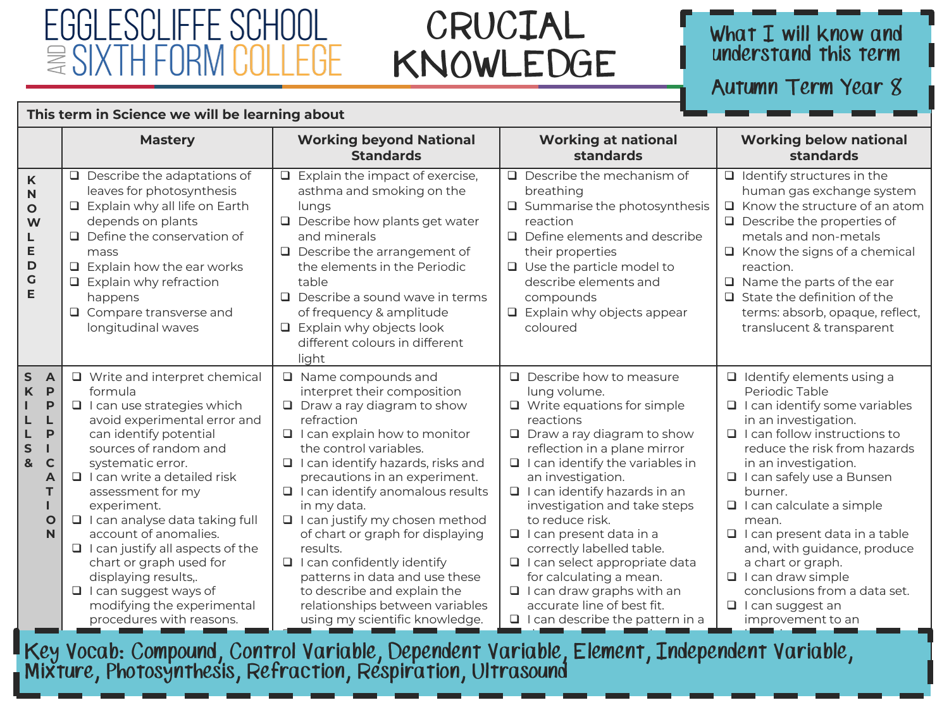### FGGI ESCI IFFF SCHOOL  $\approx$  SIX IH F(

This term in Science we will be learning about

### CRUCIAL KNOWLEDGE

#### What I will know and understand this term

Autumn Term Year 8

|                                                                                                                                                                                 | <b>Mastery</b>                                                                                                                                                                                                                                                                                                                                                                                                                                                                                                        | <b>Working beyond National</b><br><b>Standards</b>                                                                                                                                                                                                                                                                                                                                                                                                                                                                                                                                      | <b>Working at national</b><br>standards                                                                                                                                                                                                                                                                                                                                                                                                                                                                                                                            | <b>Working below national</b><br>standards                                                                                                                                                                                                                                                                                                                                                                                                                                                                 |
|---------------------------------------------------------------------------------------------------------------------------------------------------------------------------------|-----------------------------------------------------------------------------------------------------------------------------------------------------------------------------------------------------------------------------------------------------------------------------------------------------------------------------------------------------------------------------------------------------------------------------------------------------------------------------------------------------------------------|-----------------------------------------------------------------------------------------------------------------------------------------------------------------------------------------------------------------------------------------------------------------------------------------------------------------------------------------------------------------------------------------------------------------------------------------------------------------------------------------------------------------------------------------------------------------------------------------|--------------------------------------------------------------------------------------------------------------------------------------------------------------------------------------------------------------------------------------------------------------------------------------------------------------------------------------------------------------------------------------------------------------------------------------------------------------------------------------------------------------------------------------------------------------------|------------------------------------------------------------------------------------------------------------------------------------------------------------------------------------------------------------------------------------------------------------------------------------------------------------------------------------------------------------------------------------------------------------------------------------------------------------------------------------------------------------|
| K<br>N<br>$\mathbf{o}$<br>W<br>L<br>E<br>D<br>$\mathsf G$<br>E                                                                                                                  | $\Box$ Describe the adaptations of<br>leaves for photosynthesis<br>$\Box$ Explain why all life on Earth<br>depends on plants<br>$\Box$ Define the conservation of<br>mass<br>$\Box$ Explain how the ear works<br>$\Box$ Explain why refraction<br>happens<br>$\Box$ Compare transverse and<br>longitudinal waves                                                                                                                                                                                                      | $\Box$ Explain the impact of exercise,<br>asthma and smoking on the<br>lungs<br>$\Box$ Describe how plants get water<br>and minerals<br>$\Box$ Describe the arrangement of<br>the elements in the Periodic<br>table<br>$\Box$ Describe a sound wave in terms<br>of frequency & amplitude<br>$\Box$ Explain why objects look<br>different colours in different<br>light                                                                                                                                                                                                                  | $\Box$ Describe the mechanism of<br>breathing<br>$\Box$ Summarise the photosynthesis<br>reaction<br>$\Box$ Define elements and describe<br>their properties<br>$\Box$ Use the particle model to<br>describe elements and<br>compounds<br>Explain why objects appear<br>coloured                                                                                                                                                                                                                                                                                    | $\Box$ Identify structures in the<br>human gas exchange system<br>$\Box$ Know the structure of an atom<br>$\Box$ Describe the properties of<br>metals and non-metals<br>$\Box$ Know the signs of a chemical<br>reaction.<br>$\Box$ Name the parts of the ear<br>$\Box$ State the definition of the<br>terms: absorb, opaque, reflect,<br>translucent & transparent                                                                                                                                         |
| $\mathsf{s}$<br>$\overline{A}$<br>$\mathsf K$<br>$\mathsf{P}$<br>P<br>L<br>L<br>$\mathsf{P}$<br>L<br>$\mathsf{s}$<br>$\mathbf{I}$<br>&<br>$\mathbf C$<br>A<br>т<br>$\circ$<br>N | □ Write and interpret chemical<br>formula<br>$\Box$ I can use strategies which<br>avoid experimental error and<br>can identify potential<br>sources of random and<br>systematic error.<br>$\Box$ I can write a detailed risk<br>assessment for my<br>experiment.<br>□ I can analyse data taking full<br>account of anomalies.<br>$\Box$ I can justify all aspects of the<br>chart or graph used for<br>displaying results,.<br>$\Box$ I can suggest ways of<br>modifying the experimental<br>procedures with reasons. | $\Box$ Name compounds and<br>interpret their composition<br>$\Box$ Draw a ray diagram to show<br>refraction<br>$\Box$ I can explain how to monitor<br>the control variables.<br>$\Box$ I can identify hazards, risks and<br>precautions in an experiment.<br>$\Box$ I can identify anomalous results<br>in my data.<br>$\Box$ I can justify my chosen method<br>of chart or graph for displaying<br>results.<br>$\Box$ I can confidently identify<br>patterns in data and use these<br>to describe and explain the<br>relationships between variables<br>using my scientific knowledge. | $\Box$ Describe how to measure<br>lung volume.<br>$\Box$ Write equations for simple<br>reactions<br>$\Box$ Draw a ray diagram to show<br>reflection in a plane mirror<br>$\Box$ I can identify the variables in<br>an investigation.<br>$\Box$ I can identify hazards in an<br>investigation and take steps<br>to reduce risk.<br>$\Box$ I can present data in a<br>correctly labelled table.<br>□ I can select appropriate data<br>for calculating a mean.<br>I I can draw graphs with an<br>accurate line of best fit.<br>$\Box$ I can describe the pattern in a | $\Box$ Identify elements using a<br>Periodic Table<br>$\Box$ I can identify some variables<br>in an investigation.<br>$\Box$ I can follow instructions to<br>reduce the risk from hazards<br>in an investigation.<br>□ I can safely use a Bunsen<br>burner.<br>$\Box$ I can calculate a simple<br>mean.<br>$\Box$ I can present data in a table<br>and, with guidance, produce<br>a chart or graph.<br>I I can draw simple<br>conclusions from a data set.<br>$\Box$ I can suggest an<br>improvement to an |

l Key Vocab: Compound, Control Variable, Dependent Variable, Element, Independent Variable,<br>, Mixture, Photosynthesis, Refraction, Respiration, Ultrasound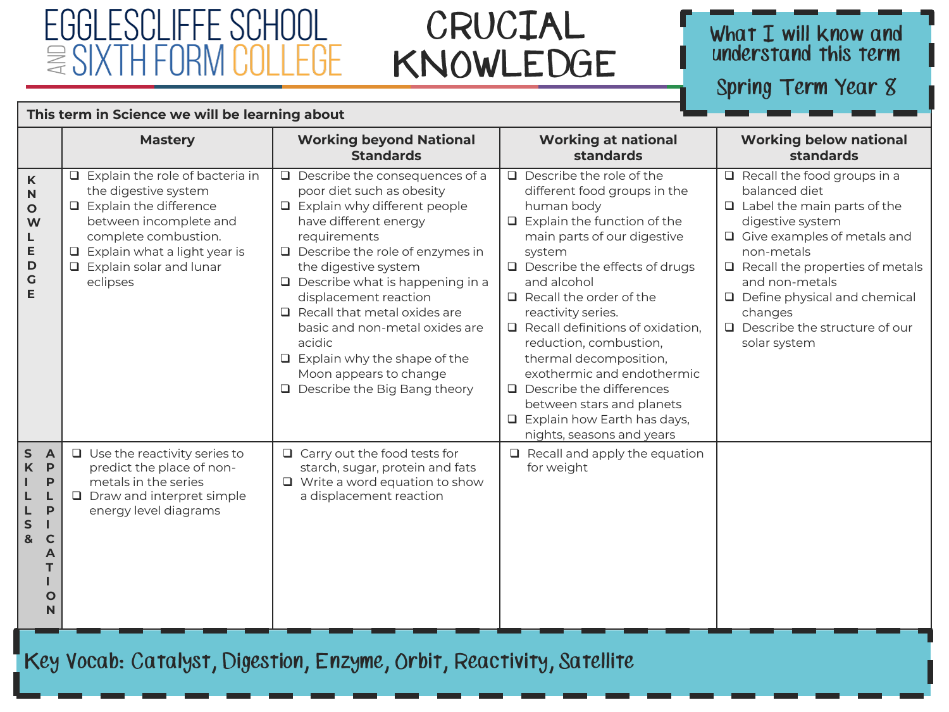### li ieee ∑\

This torm in Science we will be learning about

### CRUCIAL KNOWLEDGE

# What I will know and<br>understand this term

Spring Term Year 8

|                                                                                                                              | <b>THIS GITTLED SCIENCE WE WILL BE IERLING ADOUL</b>                                                                                                                                                                                   |                                                                                                                                                                                                                                                                                                                                                                                                                                                                                          |                                                                                                                                                                                                                                                                                                                                                                                                                                                                                                                                             |                                                                                                                                                                                                                                                                                                                           |
|------------------------------------------------------------------------------------------------------------------------------|----------------------------------------------------------------------------------------------------------------------------------------------------------------------------------------------------------------------------------------|------------------------------------------------------------------------------------------------------------------------------------------------------------------------------------------------------------------------------------------------------------------------------------------------------------------------------------------------------------------------------------------------------------------------------------------------------------------------------------------|---------------------------------------------------------------------------------------------------------------------------------------------------------------------------------------------------------------------------------------------------------------------------------------------------------------------------------------------------------------------------------------------------------------------------------------------------------------------------------------------------------------------------------------------|---------------------------------------------------------------------------------------------------------------------------------------------------------------------------------------------------------------------------------------------------------------------------------------------------------------------------|
|                                                                                                                              | <b>Mastery</b>                                                                                                                                                                                                                         | <b>Working beyond National</b><br><b>Standards</b>                                                                                                                                                                                                                                                                                                                                                                                                                                       | <b>Working at national</b><br>standards                                                                                                                                                                                                                                                                                                                                                                                                                                                                                                     | <b>Working below national</b><br>standards                                                                                                                                                                                                                                                                                |
| $\mathsf K$<br>$\mathsf{N}$<br>$\mathbf{o}$<br>W<br>L<br>E<br>D<br>G<br>E                                                    | $\Box$ Explain the role of bacteria in<br>the digestive system<br>$\Box$ Explain the difference<br>between incomplete and<br>complete combustion.<br>$\Box$ Explain what a light year is<br>$\Box$ Explain solar and lunar<br>eclipses | Describe the consequences of a<br>$\Box$<br>poor diet such as obesity<br>$\Box$ Explain why different people<br>have different energy<br>requirements<br>$\Box$ Describe the role of enzymes in<br>the digestive system<br>Describe what is happening in a<br>$\Box$<br>displacement reaction<br>$\Box$ Recall that metal oxides are<br>basic and non-metal oxides are<br>acidic<br>$\Box$ Explain why the shape of the<br>Moon appears to change<br>$\Box$ Describe the Big Bang theory | $\Box$ Describe the role of the<br>different food groups in the<br>human body<br>$\Box$ Explain the function of the<br>main parts of our digestive<br>system<br>$\Box$ Describe the effects of drugs<br>and alcohol<br>$\Box$ Recall the order of the<br>reactivity series.<br>$\Box$ Recall definitions of oxidation,<br>reduction, combustion,<br>thermal decomposition,<br>exothermic and endothermic<br>$\Box$ Describe the differences<br>between stars and planets<br>$\Box$ Explain how Earth has days,<br>nights, seasons and years | Recall the food groups in a<br>balanced diet<br>$\Box$ Label the main parts of the<br>digestive system<br>$\Box$ Give examples of metals and<br>non-metals<br>$\Box$ Recall the properties of metals<br>and non-metals<br>Define physical and chemical<br>changes<br>$\Box$ Describe the structure of our<br>solar system |
| $\sf S$<br>$\overline{A}$<br>$\mathsf{K}$<br>P<br>P<br>P<br>L<br>S<br>$\mathbf{g}$<br>$\mathsf{C}$<br>A<br>т<br>$\circ$<br>N | $\Box$ Use the reactivity series to<br>predict the place of non-<br>metals in the series<br>$\Box$ Draw and interpret simple<br>energy level diagrams                                                                                  | $\Box$ Carry out the food tests for<br>starch, sugar, protein and fats<br>$\Box$ Write a word equation to show<br>a displacement reaction                                                                                                                                                                                                                                                                                                                                                | $\Box$ Recall and apply the equation<br>for weight                                                                                                                                                                                                                                                                                                                                                                                                                                                                                          |                                                                                                                                                                                                                                                                                                                           |

Key Vocab: Catalyst, Digestion, Enzyme, Orbit, Reactivity, Satellite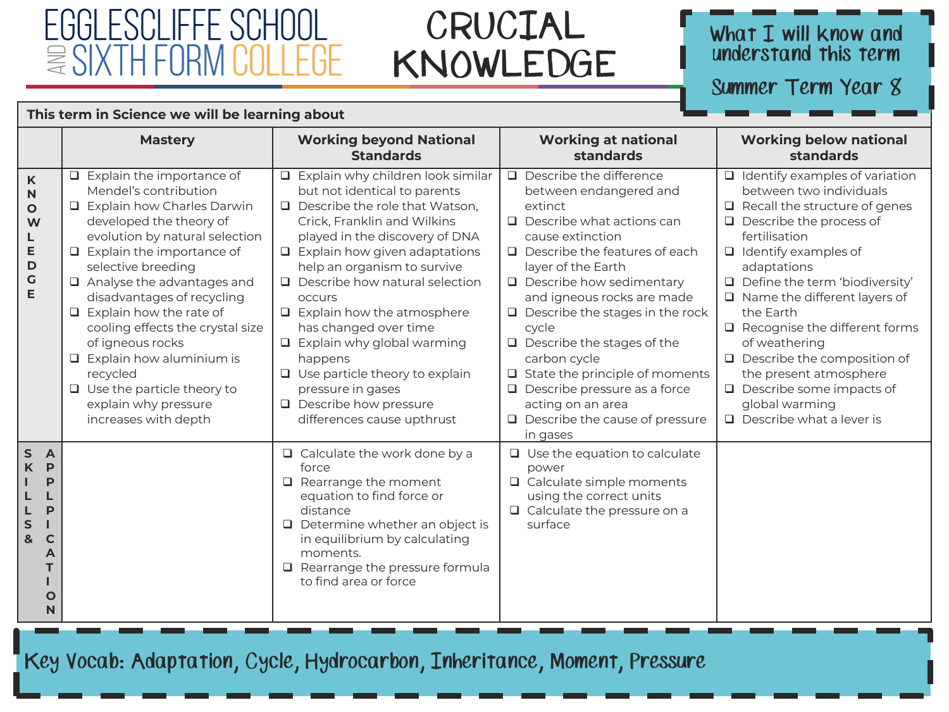#### FGGI ESCLIFFE SCHOOL  $\equiv$  SIXTH FOR  $\mathsf{H}$   $\mathsf{H}$

This term in Science we will be learning about

### CRUCIAL KNOWLEDGE

# What I will know and<br>understand this term

Summer Term Year 8

|                                                                                                                  | <b>Mastery</b>                                                                                                                                                                                                                                                                                                                                                                                                                                                                                      | <b>Working beyond National</b><br><b>Standards</b>                                                                                                                                                                                                                                                                                                                                                                                                                                                                                              | <b>Working at national</b><br>standards                                                                                                                                                                                                                                                                                                                                                                                                                                                                                      | <b>Working below national</b><br>standards                                                                                                                                                                                                                                                                                                                                                                                                                                                                       |
|------------------------------------------------------------------------------------------------------------------|-----------------------------------------------------------------------------------------------------------------------------------------------------------------------------------------------------------------------------------------------------------------------------------------------------------------------------------------------------------------------------------------------------------------------------------------------------------------------------------------------------|-------------------------------------------------------------------------------------------------------------------------------------------------------------------------------------------------------------------------------------------------------------------------------------------------------------------------------------------------------------------------------------------------------------------------------------------------------------------------------------------------------------------------------------------------|------------------------------------------------------------------------------------------------------------------------------------------------------------------------------------------------------------------------------------------------------------------------------------------------------------------------------------------------------------------------------------------------------------------------------------------------------------------------------------------------------------------------------|------------------------------------------------------------------------------------------------------------------------------------------------------------------------------------------------------------------------------------------------------------------------------------------------------------------------------------------------------------------------------------------------------------------------------------------------------------------------------------------------------------------|
| $\mathsf K$<br>N<br>$\mathbf{o}$<br>W<br>Е<br>D<br>$\mathsf{G}$<br>E                                             | Explain the importance of<br>Mendel's contribution<br>□ Explain how Charles Darwin<br>developed the theory of<br>evolution by natural selection<br>$\Box$ Explain the importance of<br>selective breeding<br>Analyse the advantages and<br>disadvantages of recycling<br>$\Box$ Explain how the rate of<br>cooling effects the crystal size<br>of igneous rocks<br>$\Box$ Explain how aluminium is<br>recycled<br>$\Box$ Use the particle theory to<br>explain why pressure<br>increases with depth | Explain why children look similar<br>but not identical to parents<br>$\Box$ Describe the role that Watson,<br>Crick, Franklin and Wilkins<br>played in the discovery of DNA<br>$\Box$ Explain how given adaptations<br>help an organism to survive<br>$\Box$ Describe how natural selection<br>occurs<br>$\Box$ Explain how the atmosphere<br>has changed over time<br>$\Box$ Explain why global warming<br>happens<br>$\Box$ Use particle theory to explain<br>pressure in gases<br>$\Box$ Describe how pressure<br>differences cause upthrust | $\Box$ Describe the difference<br>between endangered and<br>extinct<br>$\Box$ Describe what actions can<br>cause extinction<br>$\Box$ Describe the features of each<br>layer of the Earth<br>$\Box$ Describe how sedimentary<br>and igneous rocks are made<br>$\Box$ Describe the stages in the rock<br>cycle<br>$\Box$ Describe the stages of the<br>carbon cycle<br>$\Box$ State the principle of moments<br>$\Box$ Describe pressure as a force<br>acting on an area<br>$\Box$ Describe the cause of pressure<br>in gases | $\Box$ Identify examples of variation<br>between two individuals<br>$\Box$ Recall the structure of genes<br>$\Box$ Describe the process of<br>fertilisation<br>$\Box$ Identify examples of<br>adaptations<br>Define the term 'biodiversity'<br>$\Box$ Name the different layers of<br>the Earth<br>$\Box$ Recognise the different forms<br>of weathering<br>$\Box$ Describe the composition of<br>the present atmosphere<br>$\Box$ Describe some impacts of<br>global warming<br>$\Box$ Describe what a lever is |
| ${\sf S}$<br>$\overline{A}$<br>K<br>P<br>P<br>P<br>${\sf s}$<br>&<br>$\mathsf{C}$<br>A<br>т<br>$\mathbf{o}$<br>N |                                                                                                                                                                                                                                                                                                                                                                                                                                                                                                     | $\Box$ Calculate the work done by a<br>force<br>$\Box$ Rearrange the moment<br>equation to find force or<br>distance<br>$\Box$ Determine whether an object is<br>in equilibrium by calculating<br>moments.<br>$\Box$ Rearrange the pressure formula<br>to find area or force                                                                                                                                                                                                                                                                    | $\Box$ Use the equation to calculate<br>power<br>$\Box$ Calculate simple moments<br>using the correct units<br>$\Box$ Calculate the pressure on a<br>surface                                                                                                                                                                                                                                                                                                                                                                 |                                                                                                                                                                                                                                                                                                                                                                                                                                                                                                                  |

Key Vocab: Adaptation, Cycle, Hydrocarbon, Inheritance, Moment, Pressure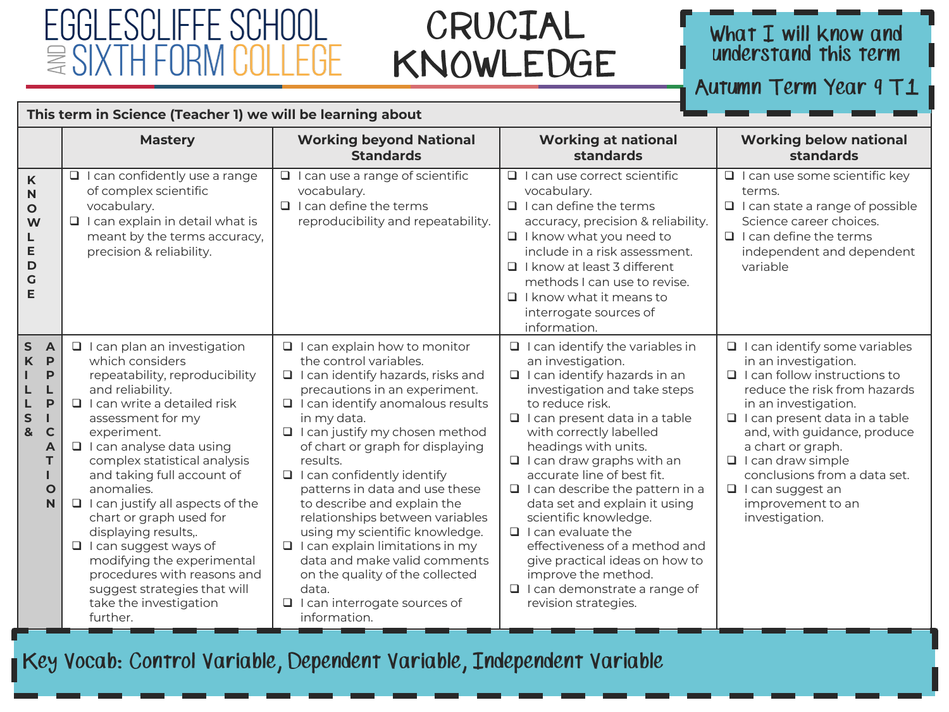### FGGI ESCI IFFE  $\approx$  SIXT

### CRUCIAL KNOWLEDGE

#### What I will know and understand this term

Autumn Term Year 9 T1

This term in Science (Teacher 1) we will be learning about

|                                                                                                                                    | <b>Mastery</b>                                                                                                                                                                                                                                                                                                                                                                                                                                                                                                                                              | <b>Working beyond National</b><br><b>Standards</b>                                                                                                                                                                                                                                                                                                                                                                                                                                                                                                                                                                                               | <b>Working at national</b><br>standards                                                                                                                                                                                                                                                                                                                                                                                                                                                                                                                                                                      | <b>Working below national</b><br>standards                                                                                                                                                                                                                                                                                                                                            |
|------------------------------------------------------------------------------------------------------------------------------------|-------------------------------------------------------------------------------------------------------------------------------------------------------------------------------------------------------------------------------------------------------------------------------------------------------------------------------------------------------------------------------------------------------------------------------------------------------------------------------------------------------------------------------------------------------------|--------------------------------------------------------------------------------------------------------------------------------------------------------------------------------------------------------------------------------------------------------------------------------------------------------------------------------------------------------------------------------------------------------------------------------------------------------------------------------------------------------------------------------------------------------------------------------------------------------------------------------------------------|--------------------------------------------------------------------------------------------------------------------------------------------------------------------------------------------------------------------------------------------------------------------------------------------------------------------------------------------------------------------------------------------------------------------------------------------------------------------------------------------------------------------------------------------------------------------------------------------------------------|---------------------------------------------------------------------------------------------------------------------------------------------------------------------------------------------------------------------------------------------------------------------------------------------------------------------------------------------------------------------------------------|
| K<br>N<br>O<br>W<br>E<br>D<br>G<br>E                                                                                               | $\Box$ I can confidently use a range<br>of complex scientific<br>vocabulary.<br>$\Box$ I can explain in detail what is<br>meant by the terms accuracy,<br>precision & reliability.                                                                                                                                                                                                                                                                                                                                                                          | $\Box$ I can use a range of scientific<br>vocabulary.<br>$\Box$ I can define the terms<br>reproducibility and repeatability.                                                                                                                                                                                                                                                                                                                                                                                                                                                                                                                     | $\Box$ I can use correct scientific<br>vocabulary.<br>$\Box$ I can define the terms<br>accuracy, precision & reliability.<br>$\Box$ I know what you need to<br>include in a risk assessment.<br>$\Box$ I know at least 3 different<br>methods I can use to revise.<br>$\Box$ I know what it means to<br>interrogate sources of<br>information.                                                                                                                                                                                                                                                               | $\Box$ I can use some scientific key<br>terms.<br>$\Box$ I can state a range of possible<br>Science career choices.<br>$\Box$ I can define the terms<br>independent and dependent<br>variable                                                                                                                                                                                         |
| S<br>$\overline{A}$<br>P<br>K<br>P<br>L<br>P<br>L<br>${\sf S}$<br>т<br>$\mathbf{g}$<br>$\mathbf C$<br>A<br>T.<br>$\mathbf{o}$<br>N | □ I can plan an investigation<br>which considers<br>repeatability, reproducibility<br>and reliability.<br>$\Box$ I can write a detailed risk<br>assessment for my<br>experiment.<br>$\Box$ I can analyse data using<br>complex statistical analysis<br>and taking full account of<br>anomalies.<br>$\Box$ I can justify all aspects of the<br>chart or graph used for<br>displaying results,.<br>□ I can suggest ways of<br>modifying the experimental<br>procedures with reasons and<br>suggest strategies that will<br>take the investigation<br>further. | $\Box$ I can explain how to monitor<br>the control variables.<br>$\Box$ I can identify hazards, risks and<br>precautions in an experiment.<br>$\Box$ I can identify anomalous results<br>in my data.<br>$\Box$ I can justify my chosen method<br>of chart or graph for displaying<br>results.<br>$\Box$ I can confidently identify<br>patterns in data and use these<br>to describe and explain the<br>relationships between variables<br>using my scientific knowledge.<br>$\Box$ I can explain limitations in my<br>data and make valid comments<br>on the quality of the collected<br>data.<br>□ I can interrogate sources of<br>information. | $\Box$ I can identify the variables in<br>an investigation.<br>$\Box$ I can identify hazards in an<br>investigation and take steps<br>to reduce risk.<br>$\Box$ I can present data in a table<br>with correctly labelled<br>headings with units.<br>$\Box$ I can draw graphs with an<br>accurate line of best fit.<br>$\Box$ I can describe the pattern in a<br>data set and explain it using<br>scientific knowledge.<br>$\Box$ I can evaluate the<br>effectiveness of a method and<br>give practical ideas on how to<br>improve the method.<br>$\Box$ I can demonstrate a range of<br>revision strategies. | $\Box$ I can identify some variables<br>in an investigation.<br>$\Box$ I can follow instructions to<br>reduce the risk from hazards<br>in an investigation.<br>$\Box$ I can present data in a table<br>and, with guidance, produce<br>a chart or graph.<br>$\Box$ I can draw simple<br>conclusions from a data set.<br>$\Box$ I can suggest an<br>improvement to an<br>investigation. |

Key Vocab: Control Variable, Dependent Variable, Independent Variable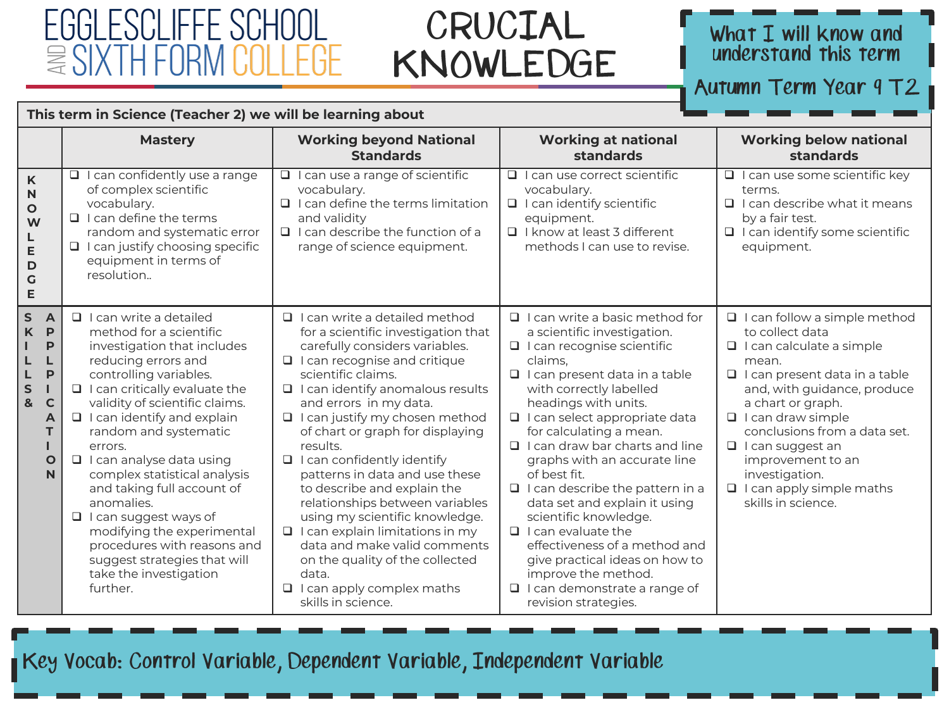### CRUCIAL KNOWLEDGE

# What I will know and<br>understand this term

Autumn Term Year 9 T2

| This term in Science (Teacher 2) we will be learning about |  |  |  |
|------------------------------------------------------------|--|--|--|
|------------------------------------------------------------|--|--|--|

|                                                                                                                                 | <b>Mastery</b>                                                                                                                                                                                                                                                                                                                                                                                                                                                                                                                                                                | <b>Working beyond National</b><br><b>Standards</b>                                                                                                                                                                                                                                                                                                                                                                                                                                                                                                                                                                                                                                        | <b>Working at national</b><br><b>standards</b>                                                                                                                                                                                                                                                                                                                                                                                                                                                                                                                                                                                                                   | <b>Working below national</b><br>standards                                                                                                                                                                                                                                                                                                                                            |
|---------------------------------------------------------------------------------------------------------------------------------|-------------------------------------------------------------------------------------------------------------------------------------------------------------------------------------------------------------------------------------------------------------------------------------------------------------------------------------------------------------------------------------------------------------------------------------------------------------------------------------------------------------------------------------------------------------------------------|-------------------------------------------------------------------------------------------------------------------------------------------------------------------------------------------------------------------------------------------------------------------------------------------------------------------------------------------------------------------------------------------------------------------------------------------------------------------------------------------------------------------------------------------------------------------------------------------------------------------------------------------------------------------------------------------|------------------------------------------------------------------------------------------------------------------------------------------------------------------------------------------------------------------------------------------------------------------------------------------------------------------------------------------------------------------------------------------------------------------------------------------------------------------------------------------------------------------------------------------------------------------------------------------------------------------------------------------------------------------|---------------------------------------------------------------------------------------------------------------------------------------------------------------------------------------------------------------------------------------------------------------------------------------------------------------------------------------------------------------------------------------|
| K<br>$\mathbf N$<br>$\circ$<br>W<br>L<br>E<br>D<br>$\mathsf{G}$<br>E                                                            | $\Box$ I can confidently use a range<br>of complex scientific<br>vocabulary.<br>$\Box$ I can define the terms<br>random and systematic error<br>$\Box$ I can justify choosing specific<br>equipment in terms of<br>resolution                                                                                                                                                                                                                                                                                                                                                 | $\Box$ I can use a range of scientific<br>vocabulary.<br>$\Box$ I can define the terms limitation<br>and validity<br>$\Box$ I can describe the function of a<br>range of science equipment.                                                                                                                                                                                                                                                                                                                                                                                                                                                                                               | $\Box$ I can use correct scientific<br>vocabulary.<br>$\Box$ I can identify scientific<br>equipment.<br>□ I know at least 3 different<br>methods I can use to revise.                                                                                                                                                                                                                                                                                                                                                                                                                                                                                            | I I can use some scientific key<br>terms.<br>$\Box$ I can describe what it means<br>by a fair test.<br>□ I can identify some scientific<br>equipment.                                                                                                                                                                                                                                 |
| S<br>$\overline{A}$<br>K<br>P<br>P<br>L<br>L<br>P<br>L<br>S<br>H.<br>$\mathbf{g}$<br>$\mathbf C$<br>A<br>т<br>$\mathbf{o}$<br>N | $\Box$ I can write a detailed<br>method for a scientific<br>investigation that includes<br>reducing errors and<br>controlling variables.<br>$\Box$ I can critically evaluate the<br>validity of scientific claims.<br>$\Box$ I can identify and explain<br>random and systematic<br>errors.<br>$\Box$ I can analyse data using<br>complex statistical analysis<br>and taking full account of<br>anomalies.<br>$\Box$ I can suggest ways of<br>modifying the experimental<br>procedures with reasons and<br>suggest strategies that will<br>take the investigation<br>further. | □ I can write a detailed method<br>for a scientific investigation that<br>carefully considers variables.<br>$\Box$ I can recognise and critique<br>scientific claims.<br>$\Box$ I can identify anomalous results<br>and errors in my data.<br>I I can justify my chosen method<br>of chart or graph for displaying<br>results.<br>$\Box$ I can confidently identify<br>patterns in data and use these<br>to describe and explain the<br>relationships between variables<br>using my scientific knowledge.<br>$\Box$ I can explain limitations in my<br>data and make valid comments<br>on the quality of the collected<br>data.<br>$\Box$ I can apply complex maths<br>skills in science. | $\Box$ I can write a basic method for<br>a scientific investigation.<br>$\Box$ I can recognise scientific<br>claims.<br>$\Box$ I can present data in a table<br>with correctly labelled<br>headings with units.<br>I I can select appropriate data<br>for calculating a mean.<br>$\Box$ I can draw bar charts and line<br>graphs with an accurate line<br>of best fit.<br>$\Box$ I can describe the pattern in a<br>data set and explain it using<br>scientific knowledge.<br>$\Box$ I can evaluate the<br>effectiveness of a method and<br>give practical ideas on how to<br>improve the method.<br>$\Box$ I can demonstrate a range of<br>revision strategies. | $\Box$ I can follow a simple method<br>to collect data<br>$\Box$ I can calculate a simple<br>mean.<br>$\Box$ I can present data in a table<br>and, with guidance, produce<br>a chart or graph.<br>$\Box$ I can draw simple<br>conclusions from a data set.<br>$\Box$ I can suggest an<br>improvement to an<br>investigation.<br>$\Box$ I can apply simple maths<br>skills in science. |

Key Vocab: Control Variable, Dependent Variable, Independent Variable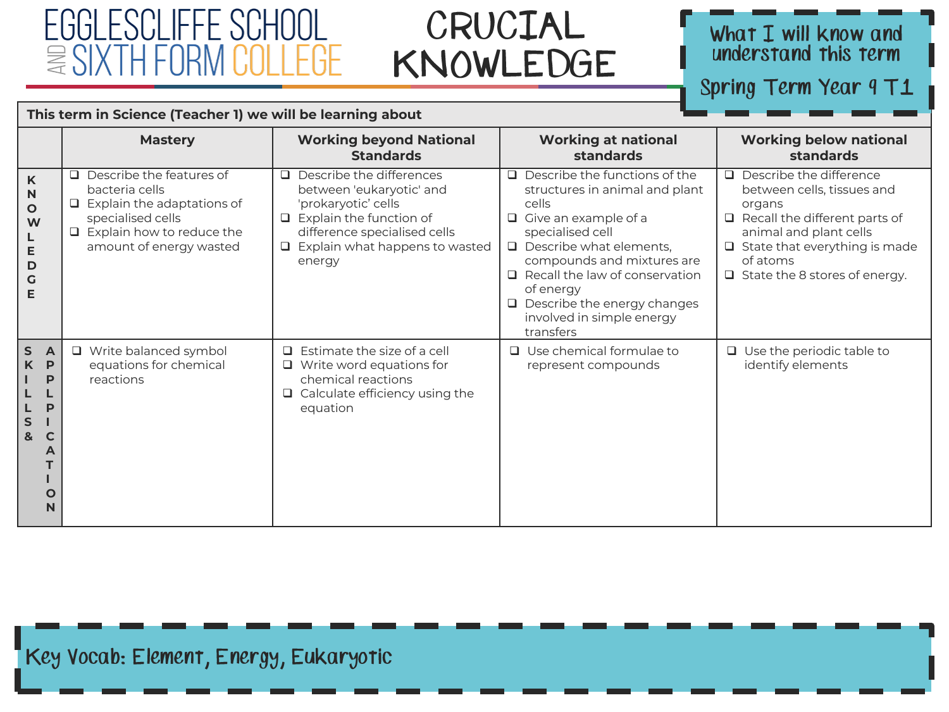### CRUCIAL KNOWLEDGE

# What I will know and<br>understand this term

Spring Term Year 9 T1

| This term in Science (Teacher 1) we will be learning about |  |  |  |
|------------------------------------------------------------|--|--|--|
|------------------------------------------------------------|--|--|--|

|                                                                                                 | <b>Mastery</b>                                                                                                                                             | <b>Working beyond National</b><br><b>Standards</b>                                                                                                                                                      | <b>Working at national</b><br>standards                                                                                                                                                                                                                                                                                                     | <b>Working below national</b><br><b>standards</b>                                                                                                                                                                                    |
|-------------------------------------------------------------------------------------------------|------------------------------------------------------------------------------------------------------------------------------------------------------------|---------------------------------------------------------------------------------------------------------------------------------------------------------------------------------------------------------|---------------------------------------------------------------------------------------------------------------------------------------------------------------------------------------------------------------------------------------------------------------------------------------------------------------------------------------------|--------------------------------------------------------------------------------------------------------------------------------------------------------------------------------------------------------------------------------------|
| K<br>N<br>$\mathbf{o}$<br>W<br>E<br>D<br>G<br>E                                                 | Describe the features of<br>□<br>bacteria cells<br>Explain the adaptations of<br>specialised cells<br>Explain how to reduce the<br>amount of energy wasted | $\Box$ Describe the differences<br>between 'eukaryotic' and<br>'prokaryotic' cells<br>$\Box$ Explain the function of<br>difference specialised cells<br>$\Box$ Explain what happens to wasted<br>energy | $\Box$ Describe the functions of the<br>structures in animal and plant<br>cells<br>$\Box$ Give an example of a<br>specialised cell<br>$\Box$ Describe what elements,<br>compounds and mixtures are<br>Recall the law of conservation<br>$\Box$<br>of energy<br>$\Box$ Describe the energy changes<br>involved in simple energy<br>transfers | $\Box$ Describe the difference<br>between cells, tissues and<br>organs<br>$\Box$ Recall the different parts of<br>animal and plant cells<br>$\Box$ State that everything is made<br>of atoms<br>$\Box$ State the 8 stores of energy. |
| $\mathsf{s}$<br><b>A</b><br>K<br>P<br>P<br>P<br>S<br>&<br>$\mathsf{C}$<br>A<br>$\mathbf O$<br>N | □ Write balanced symbol<br>equations for chemical<br>reactions                                                                                             | $\Box$ Estimate the size of a cell<br>$\Box$ Write word equations for<br>chemical reactions<br>$\Box$ Calculate efficiency using the<br>equation                                                        | $\Box$ Use chemical formulae to<br>represent compounds                                                                                                                                                                                                                                                                                      | $\Box$ Use the periodic table to<br>identify elements                                                                                                                                                                                |

Key Vocab: Element, Energy, Eukaryotic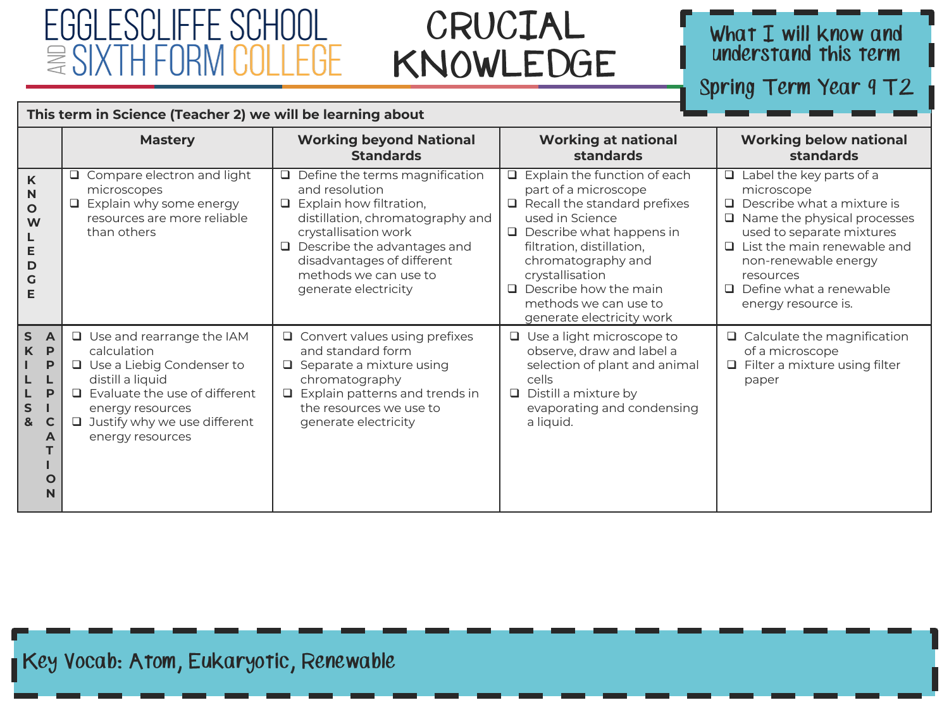### CRUCIAL KNOWLEDGE

# What I will know and<br>understand this term

Spring Term Year 9 T2

|  | This term in Science (Teacher 2) we will be learning about |  |
|--|------------------------------------------------------------|--|
|--|------------------------------------------------------------|--|

|                                                                                                                | <b>Mastery</b>                                                                                                                                                                                                                 | <b>Working beyond National</b><br><b>Standards</b>                                                                                                                                                                                                                         | <b>Working at national</b><br>standards                                                                                                                                                                                                                                                                                 | <b>Working below national</b><br><b>standards</b>                                                                                                                                                                                                                                         |
|----------------------------------------------------------------------------------------------------------------|--------------------------------------------------------------------------------------------------------------------------------------------------------------------------------------------------------------------------------|----------------------------------------------------------------------------------------------------------------------------------------------------------------------------------------------------------------------------------------------------------------------------|-------------------------------------------------------------------------------------------------------------------------------------------------------------------------------------------------------------------------------------------------------------------------------------------------------------------------|-------------------------------------------------------------------------------------------------------------------------------------------------------------------------------------------------------------------------------------------------------------------------------------------|
| K<br>N<br>$\mathbf{o}$<br>W<br>Ε<br>D<br>G<br>Е                                                                | Compare electron and light<br>microscopes<br>Explain why some energy<br>resources are more reliable<br>than others                                                                                                             | $\Box$ Define the terms magnification<br>and resolution<br>$\Box$ Explain how filtration,<br>distillation, chromatography and<br>crystallisation work<br>$\Box$ Describe the advantages and<br>disadvantages of different<br>methods we can use to<br>generate electricity | $\Box$ Explain the function of each<br>part of a microscope<br>Recall the standard prefixes<br>$\Box$<br>used in Science<br>$\Box$ Describe what happens in<br>filtration, distillation,<br>chromatography and<br>crystallisation<br>$\Box$ Describe how the main<br>methods we can use to<br>generate electricity work | $\Box$ Label the key parts of a<br>microscope<br>$\Box$ Describe what a mixture is<br>$\Box$ Name the physical processes<br>used to separate mixtures<br>$\Box$ List the main renewable and<br>non-renewable energy<br>resources<br>$\Box$ Define what a renewable<br>energy resource is. |
| $\mathsf{s}$<br>$\overline{A}$<br>P<br>K<br>P<br>L<br>P<br>L<br>S<br>&<br>$\mathbf C$<br>A<br>$\mathbf O$<br>N | $\Box$ Use and rearrange the IAM<br>calculation<br>$\Box$ Use a Liebig Condenser to<br>distill a liquid<br>$\Box$ Evaluate the use of different<br>energy resources<br>$\Box$ Justify why we use different<br>energy resources | $\Box$ Convert values using prefixes<br>and standard form<br>$\Box$ Separate a mixture using<br>chromatography<br>$\Box$ Explain patterns and trends in<br>the resources we use to<br>generate electricity                                                                 | $\Box$ Use a light microscope to<br>observe, draw and label a<br>selection of plant and animal<br>cells<br>Distill a mixture by<br>$\Box$<br>evaporating and condensing<br>a liquid.                                                                                                                                    | $\Box$ Calculate the magnification<br>of a microscope<br>$\Box$ Filter a mixture using filter<br>paper                                                                                                                                                                                    |

Key Vocab: Atom, Eukaryotic, Renewable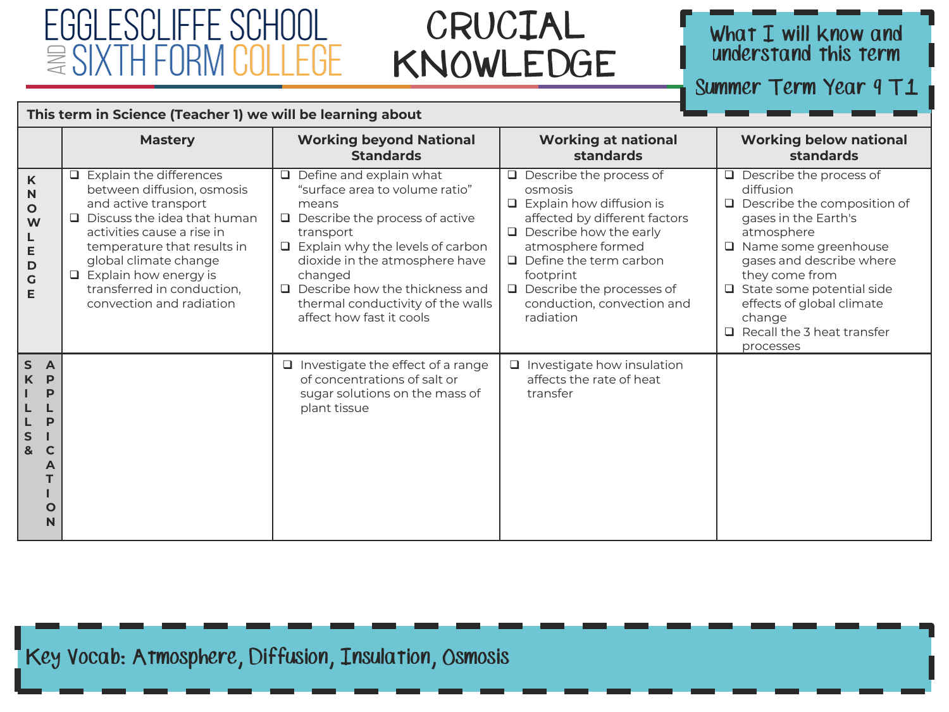### CRUCIAL KNOWLEDGE

# What I will know and<br>understand this term

Summer Term Year 9 T1

|                                                                                                  | <b>Mastery</b>                                                                                                                                                                                                                                                                               | <b>Working beyond National</b><br><b>Standards</b>                                                                                                                                                                                                                                                                                | <b>Working at national</b><br>standards                                                                                                                                                                                                                                                          | <b>Working below national</b><br>standards                                                                                                                                                                                                                                                                                        |
|--------------------------------------------------------------------------------------------------|----------------------------------------------------------------------------------------------------------------------------------------------------------------------------------------------------------------------------------------------------------------------------------------------|-----------------------------------------------------------------------------------------------------------------------------------------------------------------------------------------------------------------------------------------------------------------------------------------------------------------------------------|--------------------------------------------------------------------------------------------------------------------------------------------------------------------------------------------------------------------------------------------------------------------------------------------------|-----------------------------------------------------------------------------------------------------------------------------------------------------------------------------------------------------------------------------------------------------------------------------------------------------------------------------------|
| K<br>N<br>$\mathbf O$<br>W<br>Е<br>D<br>G<br>Е                                                   | Explain the differences<br>between diffusion, osmosis<br>and active transport<br>Discuss the idea that human<br>activities cause a rise in<br>temperature that results in<br>global climate change<br>$\Box$ Explain how energy is<br>transferred in conduction,<br>convection and radiation | $\Box$ Define and explain what<br>"surface area to volume ratio"<br>means<br>$\Box$ Describe the process of active<br>transport<br>$\Box$ Explain why the levels of carbon<br>dioxide in the atmosphere have<br>changed<br>$\Box$ Describe how the thickness and<br>thermal conductivity of the walls<br>affect how fast it cools | $\Box$ Describe the process of<br>osmosis<br>$\Box$ Explain how diffusion is<br>affected by different factors<br>$\Box$ Describe how the early<br>atmosphere formed<br>$\Box$ Define the term carbon<br>footprint<br>$\Box$ Describe the processes of<br>conduction, convection and<br>radiation | $\Box$ Describe the process of<br>diffusion<br>$\Box$ Describe the composition of<br>gases in the Earth's<br>atmosphere<br>$\Box$ Name some greenhouse<br>gases and describe where<br>they come from<br>$\Box$ State some potential side<br>effects of global climate<br>change<br>$\Box$ Recall the 3 heat transfer<br>processes |
| S<br>$\overline{A}$<br>K<br>P<br>P<br>P<br>$\sf S$<br>&<br>$\mathbf C$<br>A<br>$\mathbf{o}$<br>N |                                                                                                                                                                                                                                                                                              | $\Box$ Investigate the effect of a range<br>of concentrations of salt or<br>sugar solutions on the mass of<br>plant tissue                                                                                                                                                                                                        | $\Box$ Investigate how insulation<br>affects the rate of heat<br>transfer                                                                                                                                                                                                                        |                                                                                                                                                                                                                                                                                                                                   |

Key Vocab: Atmosphere, Diffusion, Insulation, Osmosis